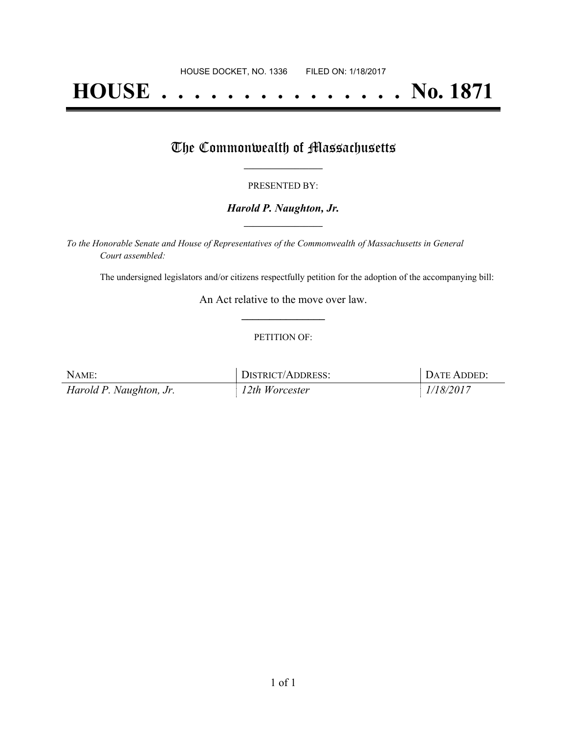# **HOUSE . . . . . . . . . . . . . . . No. 1871**

## The Commonwealth of Massachusetts

#### PRESENTED BY:

#### *Harold P. Naughton, Jr.* **\_\_\_\_\_\_\_\_\_\_\_\_\_\_\_\_\_**

*To the Honorable Senate and House of Representatives of the Commonwealth of Massachusetts in General Court assembled:*

The undersigned legislators and/or citizens respectfully petition for the adoption of the accompanying bill:

An Act relative to the move over law. **\_\_\_\_\_\_\_\_\_\_\_\_\_\_\_**

#### PETITION OF:

| NAME:                   | <b>DISTRICT/ADDRESS:</b> | DATE ADDED: |
|-------------------------|--------------------------|-------------|
| Harold P. Naughton, Jr. | $12$ th Worcester        | 1/18/2017   |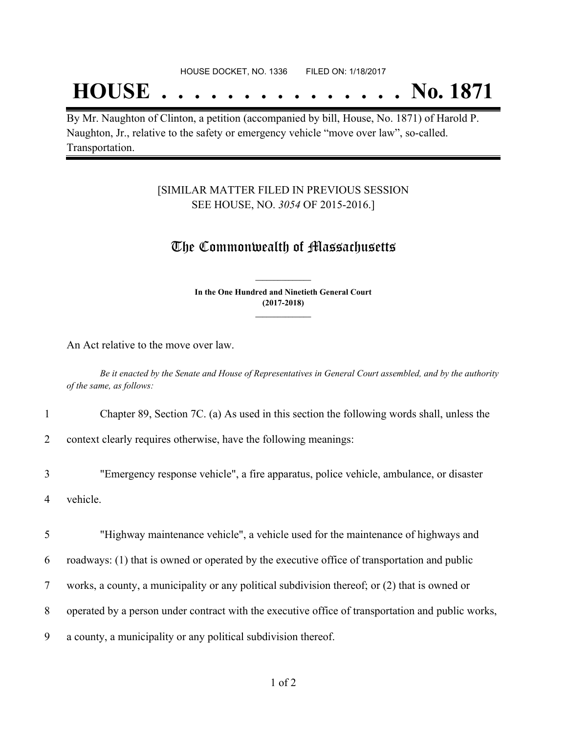## **HOUSE . . . . . . . . . . . . . . . No. 1871**

By Mr. Naughton of Clinton, a petition (accompanied by bill, House, No. 1871) of Harold P. Naughton, Jr., relative to the safety or emergency vehicle "move over law", so-called. Transportation.

#### [SIMILAR MATTER FILED IN PREVIOUS SESSION SEE HOUSE, NO. *3054* OF 2015-2016.]

### The Commonwealth of Massachusetts

**In the One Hundred and Ninetieth General Court (2017-2018) \_\_\_\_\_\_\_\_\_\_\_\_\_\_\_**

**\_\_\_\_\_\_\_\_\_\_\_\_\_\_\_**

An Act relative to the move over law.

Be it enacted by the Senate and House of Representatives in General Court assembled, and by the authority *of the same, as follows:*

1 Chapter 89, Section 7C. (a) As used in this section the following words shall, unless the

2 context clearly requires otherwise, have the following meanings:

3 "Emergency response vehicle", a fire apparatus, police vehicle, ambulance, or disaster 4 vehicle.

5 "Highway maintenance vehicle", a vehicle used for the maintenance of highways and

6 roadways: (1) that is owned or operated by the executive office of transportation and public

- 7 works, a county, a municipality or any political subdivision thereof; or (2) that is owned or
- 8 operated by a person under contract with the executive office of transportation and public works,

9 a county, a municipality or any political subdivision thereof.